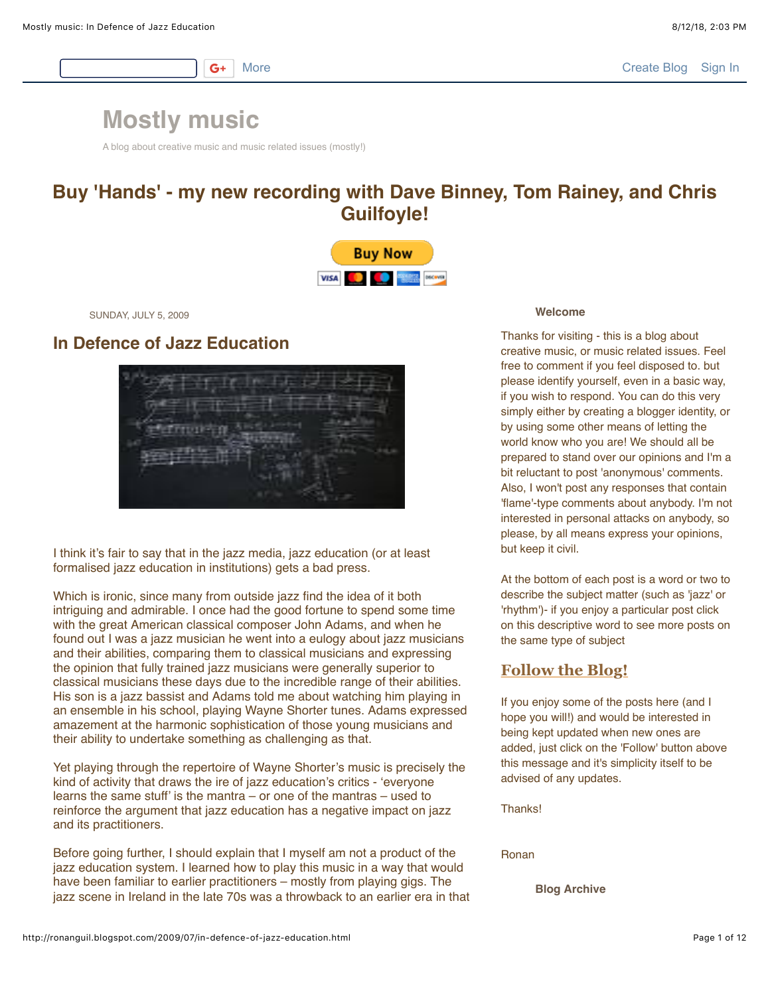$G+$ 

# **[Mostly music](http://ronanguil.blogspot.com/)**

A blog about creative music and music related issues (mostly!)

# **Buy 'Hands' - my new recording with Dave Binney, Tom Rainey, and Chris Guilfoyle!**



SUNDAY, JULY 5, 2009

# **In Defence of Jazz Education**



I think it's fair to say that in the jazz media, jazz education (or at least formalised jazz education in institutions) gets a bad press.

Which is ironic, since many from outside jazz find the idea of it both intriguing and admirable. I once had the good fortune to spend some time with the great American classical composer John Adams, and when he found out I was a jazz musician he went into a eulogy about jazz musicians and their abilities, comparing them to classical musicians and expressing the opinion that fully trained jazz musicians were generally superior to classical musicians these days due to the incredible range of their abilities. His son is a jazz bassist and Adams told me about watching him playing in an ensemble in his school, playing Wayne Shorter tunes. Adams expressed amazement at the harmonic sophistication of those young musicians and their ability to undertake something as challenging as that.

Yet playing through the repertoire of Wayne Shorter's music is precisely the kind of activity that draws the ire of jazz education's critics - 'everyone learns the same stuff' is the mantra – or one of the mantras – used to reinforce the argument that jazz education has a negative impact on jazz and its practitioners.

Before going further, I should explain that I myself am not a product of the jazz education system. I learned how to play this music in a way that would have been familiar to earlier practitioners – mostly from playing gigs. The jazz scene in Ireland in the late 70s was a throwback to an earlier era in that

#### **Welcome**

Thanks for visiting - this is a blog about creative music, or music related issues. Feel free to comment if you feel disposed to. but please identify yourself, even in a basic way, if you wish to respond. You can do this very simply either by creating a blogger identity, or by using some other means of letting the world know who you are! We should all be prepared to stand over our opinions and I'm a bit reluctant to post 'anonymous' comments. Also, I won't post any responses that contain 'flame'-type comments about anybody. I'm not interested in personal attacks on anybody, so please, by all means express your opinions, but keep it civil.

At the bottom of each post is a word or two to describe the subject matter (such as 'jazz' or 'rhythm')- if you enjoy a particular post click on this descriptive word to see more posts on the same type of subject

# **[Follow the Blog!](http://www.google.com/friendconnect/signin/home?st=e%3DAOG8GaABVn%252BODmm7tqANZkD9ECPFDEJKwgFo5DKEJmZWSA5psUjf2iz1kNKkgw8%252FK960yayOCV7TC8NT3lj8PBm4j0o9yybmh26zLSfc1NFIs5WoLRN2s9%252BmIOlch7belJees46JkDk%252BPsuuhRjZ%252Fvd2vPvGS3gsqgWyq4sJw2i5NAxPNRWGGz8vHHqFotQtBjZyQkMabZOn208IHgKFRsjx30XXQnZew2kxDU1lPZ7yHkTf%252FZLqiYc%253D%26c%3Dpeoplesense&psinvite=)**

If you enjoy some of the posts here (and I hope you will!) and would be interested in being kept updated when new ones are added, just click on the 'Follow' button above this message and it's simplicity itself to be advised of any updates.

Thanks!

Ronan

**Blog Archive**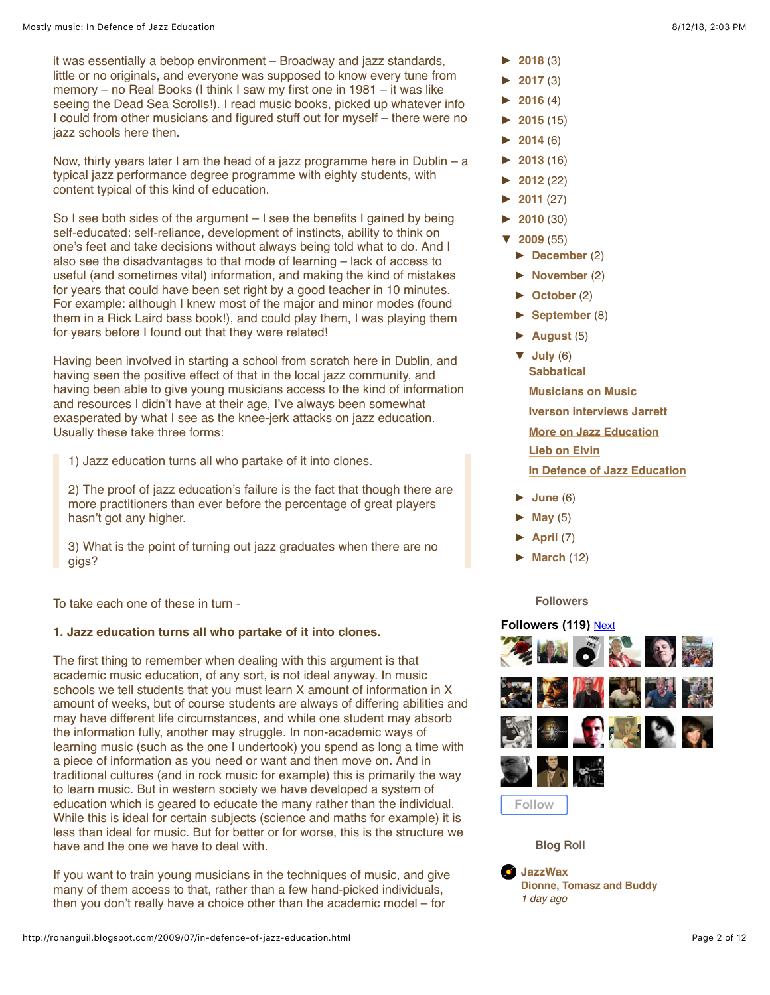it was essentially a bebop environment – Broadway and jazz standards, little or no originals, and everyone was supposed to know every tune from memory – no Real Books (I think I saw my first one in 1981 – it was like seeing the Dead Sea Scrolls!). I read music books, picked up whatever info I could from other musicians and figured stuff out for myself – there were no jazz schools here then.

Now, thirty years later I am the head of a jazz programme here in Dublin – a typical jazz performance degree programme with eighty students, with content typical of this kind of education.

So I see both sides of the argument – I see the benefits I gained by being self-educated: self-reliance, development of instincts, ability to think on one's feet and take decisions without always being told what to do. And I also see the disadvantages to that mode of learning – lack of access to useful (and sometimes vital) information, and making the kind of mistakes for years that could have been set right by a good teacher in 10 minutes. For example: although I knew most of the major and minor modes (found them in a Rick Laird bass book!), and could play them, I was playing them for years before I found out that they were related!

Having been involved in starting a school from scratch here in Dublin, and having seen the positive effect of that in the local jazz community, and having been able to give young musicians access to the kind of information and resources I didn't have at their age, I've always been somewhat exasperated by what I see as the knee-jerk attacks on jazz education. Usually these take three forms:

1) Jazz education turns all who partake of it into clones.

2) The proof of jazz education's failure is the fact that though there are more practitioners than ever before the percentage of great players hasn't got any higher.

3) What is the point of turning out jazz graduates when there are no gigs?

To take each one of these in turn -

# **1. Jazz education turns all who partake of it into clones.**

The first thing to remember when dealing with this argument is that academic music education, of any sort, is not ideal anyway. In music schools we tell students that you must learn X amount of information in X amount of weeks, but of course students are always of differing abilities and may have different life circumstances, and while one student may absorb the information fully, another may struggle. In non-academic ways of learning music (such as the one I undertook) you spend as long a time with a piece of information as you need or want and then move on. And in traditional cultures (and in rock music for example) this is primarily the way to learn music. But in western society we have developed a system of education which is geared to educate the many rather than the individual. While this is ideal for certain subjects (science and maths for example) it is less than ideal for music. But for better or for worse, this is the structure we have and the one we have to deal with.

If you want to train young musicians in the techniques of music, and give many of them access to that, rather than a few hand-picked individuals, then you don't really have a choice other than the academic model – for

- **[►](javascript:void(0)) [2018](http://ronanguil.blogspot.com/2018/)** (3)
- **[►](javascript:void(0)) [2017](http://ronanguil.blogspot.com/2017/)** (3)
- **[►](javascript:void(0)) [2016](http://ronanguil.blogspot.com/2016/)** (4)
- **[►](javascript:void(0)) [2015](http://ronanguil.blogspot.com/2015/)** (15)
- **[►](javascript:void(0)) [2014](http://ronanguil.blogspot.com/2014/)** (6)
- **[►](javascript:void(0)) [2013](http://ronanguil.blogspot.com/2013/)** (16)
- **[►](javascript:void(0)) [2012](http://ronanguil.blogspot.com/2012/)** (22)
- **[►](javascript:void(0)) [2011](http://ronanguil.blogspot.com/2011/)** (27)
- **[►](javascript:void(0)) [2010](http://ronanguil.blogspot.com/2010/)** (30)
- **[▼](javascript:void(0)) [2009](http://ronanguil.blogspot.com/2009/)** (55)
	- **[►](javascript:void(0)) [December](http://ronanguil.blogspot.com/2009/12/)** (2)
	- **[►](javascript:void(0)) [November](http://ronanguil.blogspot.com/2009/11/)** (2)
	- **[►](javascript:void(0)) [October](http://ronanguil.blogspot.com/2009/10/)** (2)
	- **[►](javascript:void(0)) [September](http://ronanguil.blogspot.com/2009/09/)** (8)
	- $\blacktriangleright$  **August** (5)
	- **[▼](javascript:void(0)) [July](http://ronanguil.blogspot.com/2009/07/)** (6) **[Sabbatical](http://ronanguil.blogspot.com/2009/07/sabbatical.html) [Musicians on Music](http://ronanguil.blogspot.com/2009/07/musicians-on-music.html)**
	- **[Iverson interviews Jarrett](http://ronanguil.blogspot.com/2009/07/iverson-interviews-jarrett.html)**
	- **[More on Jazz Education](http://ronanguil.blogspot.com/2009/07/more-on-jazz-education.html)**
	- **[Lieb on Elvin](http://ronanguil.blogspot.com/2009/07/lieb-on-elvin.html)**
	- **[In Defence of Jazz Education](http://ronanguil.blogspot.com/2009/07/in-defence-of-jazz-education.html)**
	- **[►](javascript:void(0)) [June](http://ronanguil.blogspot.com/2009/06/)** (6)
	- **[►](javascript:void(0)) [May](http://ronanguil.blogspot.com/2009/05/)** (5)
	- $\blacktriangleright$  **April** (7)
	- **[►](javascript:void(0)) [March](http://ronanguil.blogspot.com/2009/03/)** (12)

# **Followers**

# **Followers (119)** [Next](javascript:nextPage())



**Blog Roll**

**[JazzWax](http://www.jazzwax.com/) [Dionne, Tomasz and Buddy](http://feeds.feedblitz.com/~/563557702/0/jazzwax~Dionne-Tomasz-and-Buddy.html)** *1 day ago*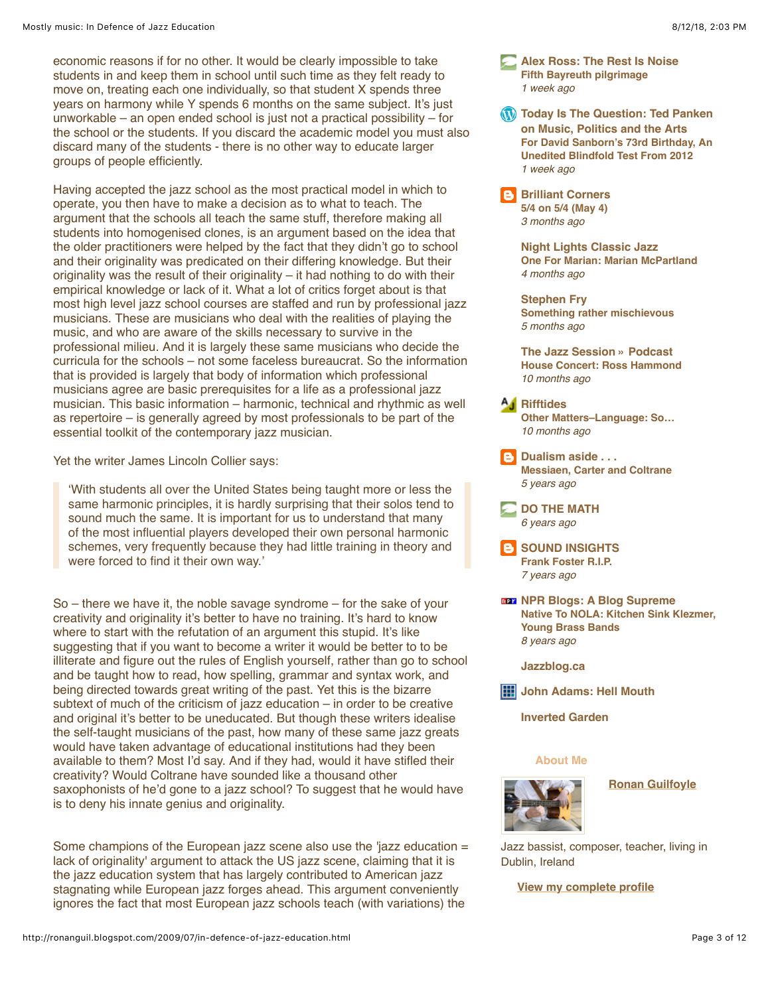economic reasons if for no other. It would be clearly impossible to take students in and keep them in school until such time as they felt ready to move on, treating each one individually, so that student X spends three years on harmony while Y spends 6 months on the same subject. It's just unworkable – an open ended school is just not a practical possibility – for the school or the students. If you discard the academic model you must also discard many of the students - there is no other way to educate larger groups of people efficiently.

Having accepted the jazz school as the most practical model in which to operate, you then have to make a decision as to what to teach. The argument that the schools all teach the same stuff, therefore making all students into homogenised clones, is an argument based on the idea that the older practitioners were helped by the fact that they didn't go to school and their originality was predicated on their differing knowledge. But their originality was the result of their originality – it had nothing to do with their empirical knowledge or lack of it. What a lot of critics forget about is that most high level jazz school courses are staffed and run by professional jazz musicians. These are musicians who deal with the realities of playing the music, and who are aware of the skills necessary to survive in the professional milieu. And it is largely these same musicians who decide the curricula for the schools – not some faceless bureaucrat. So the information that is provided is largely that body of information which professional musicians agree are basic prerequisites for a life as a professional jazz musician. This basic information – harmonic, technical and rhythmic as well as repertoire – is generally agreed by most professionals to be part of the essential toolkit of the contemporary jazz musician.

Yet the writer James Lincoln Collier says:

'With students all over the United States being taught more or less the same harmonic principles, it is hardly surprising that their solos tend to sound much the same. It is important for us to understand that many of the most influential players developed their own personal harmonic schemes, very frequently because they had little training in theory and were forced to find it their own way.'

So – there we have it, the noble savage syndrome – for the sake of your creativity and originality it's better to have no training. It's hard to know where to start with the refutation of an argument this stupid. It's like suggesting that if you want to become a writer it would be better to to be illiterate and figure out the rules of English yourself, rather than go to school and be taught how to read, how spelling, grammar and syntax work, and being directed towards great writing of the past. Yet this is the bizarre subtext of much of the criticism of jazz education – in order to be creative and original it's better to be uneducated. But though these writers idealise the self-taught musicians of the past, how many of these same jazz greats would have taken advantage of educational institutions had they been available to them? Most I'd say. And if they had, would it have stifled their creativity? Would Coltrane have sounded like a thousand other saxophonists of he'd gone to a jazz school? To suggest that he would have is to deny his innate genius and originality.

Some champions of the European jazz scene also use the 'jazz education = lack of originality' argument to attack the US jazz scene, claiming that it is the jazz education system that has largely contributed to American jazz stagnating while European jazz forges ahead. This argument conveniently ignores the fact that most European jazz schools teach (with variations) the

- **[Alex Ross: The Rest Is Noise](http://www.therestisnoise.com/) [Fifth Bayreuth pilgrimage](http://www.therestisnoise.com/2018/08/fifth-bayreuth-pilgrimage.html)** *1 week ago*
- **W** [Today Is The Question: Ted Panken](https://tedpanken.wordpress.com/) **on Music, Politics and the Arts [For David Sanborn's 73rd Birthday, An](https://tedpanken.wordpress.com/2018/07/31/for-david-sanborns-73rd-birthday-an-unedited-blindfold-test-from-2012/) Unedited Blindfold Test From 2012** *1 week ago*

 $\mathbf{B}$ **[Brilliant Corners](http://brilliantcornersabostonjazzblog.blogspot.com/) [5/4 on 5/4 \(May 4\)](http://feedproxy.google.com/~r/BrilliantCornersABostonJazzBlog/~3/T-v_8t66-4M/54-on-54-may-4.html)** *3 months ago*

> **[Night Lights Classic Jazz](https://indianapublicmedia.org/nightlights) [One For Marian: Marian McPartland](https://indianapublicmedia.org/nightlights/marian-marian-mcpartland/)** *4 months ago*

**[Stephen Fry](http://www.stephenfry.com/) [Something rather mischievous](http://www.stephenfry.com/2018/02/mischievous/)** *5 months ago*

**[The Jazz Session » Podcast](http://thejazzsession.com/) [House Concert: Ross Hammond](http://thejazzsession.com/2017/10/05/house-concert-ross-hammond/)** *10 months ago*

- **[Rifftides](http://www.artsjournal.com/rifftides) [Other Matters–Language: So…](http://www.artsjournal.com/rifftides/2017/09/other-matters-language-so151151.html)** *10 months ago*
- **[Dualism aside . . .](http://dualismaside.blogspot.com/) [Messiaen, Carter and Coltrane](http://dualismaside.blogspot.com/2012/08/messiaen-carter-and-coltrane.html)** *5 years ago*

**[DO THE MATH](http://thebadplus.typepad.com/dothemath/)** *6 years ago*

**B** [SOUND INSIGHTS](http://dougpayne.blogspot.com/) **[Frank Foster R.I.P.](http://dougpayne.blogspot.com/2011/07/frank-foster-rip.html)** *7 years ago*

**[NPR Blogs: A Blog Supreme](http://www.npr.org/blogs/ablogsupreme/) [Native To NOLA: Kitchen Sink Klezmer,](http://www.npr.org/blogs/ablogsupreme/2010/04/native_to_nola_kitchen_sink_klezmer_hot_8.html?ft=1&f=104014555) Young Brass Bands** *8 years ago*

**[Jazzblog.ca](http://communities.canada.com/ottawacitizen/blogs/jazzblog/rss.aspx)**

**[John Adams: Hell Mouth](http://www.earbox.com/posts.rss)**

**[Inverted Garden](http://www.invertedgarden.com/inverted-garden/atom.xml)**

### **About Me**



**[Ronan Guilfoyle](https://www.blogger.com/profile/02668316692753726447)**

Jazz bassist, composer, teacher, living in Dublin, Ireland

**[View my complete profile](https://www.blogger.com/profile/02668316692753726447)**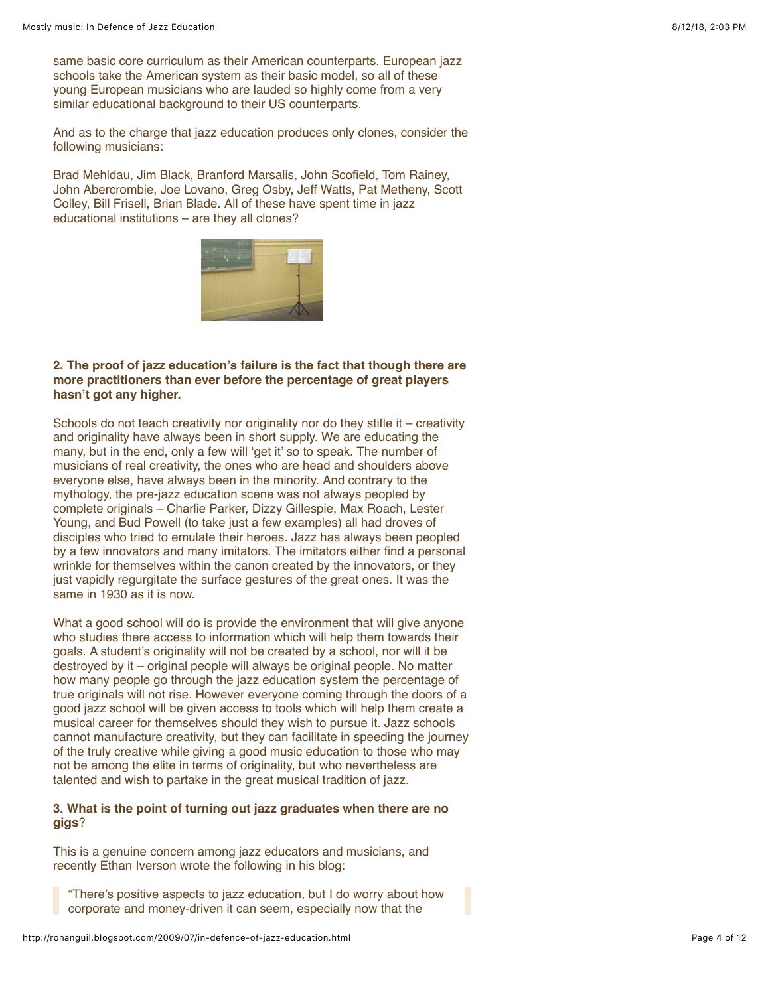same basic core curriculum as their American counterparts. European jazz schools take the American system as their basic model, so all of these young European musicians who are lauded so highly come from a very similar educational background to their US counterparts.

And as to the charge that jazz education produces only clones, consider the following musicians:

Brad Mehldau, Jim Black, Branford Marsalis, John Scofield, Tom Rainey, John Abercrombie, Joe Lovano, Greg Osby, Jeff Watts, Pat Metheny, Scott Colley, Bill Frisell, Brian Blade. All of these have spent time in jazz educational institutions – are they all clones?



### **2. The proof of jazz education's failure is the fact that though there are more practitioners than ever before the percentage of great players hasn't got any higher.**

Schools do not teach creativity nor originality nor do they stifle it – creativity and originality have always been in short supply. We are educating the many, but in the end, only a few will 'get it' so to speak. The number of musicians of real creativity, the ones who are head and shoulders above everyone else, have always been in the minority. And contrary to the mythology, the pre-jazz education scene was not always peopled by complete originals – Charlie Parker, Dizzy Gillespie, Max Roach, Lester Young, and Bud Powell (to take just a few examples) all had droves of disciples who tried to emulate their heroes. Jazz has always been peopled by a few innovators and many imitators. The imitators either find a personal wrinkle for themselves within the canon created by the innovators, or they just vapidly regurgitate the surface gestures of the great ones. It was the same in 1930 as it is now.

What a good school will do is provide the environment that will give anyone who studies there access to information which will help them towards their goals. A student's originality will not be created by a school, nor will it be destroyed by it – original people will always be original people. No matter how many people go through the jazz education system the percentage of true originals will not rise. However everyone coming through the doors of a good jazz school will be given access to tools which will help them create a musical career for themselves should they wish to pursue it. Jazz schools cannot manufacture creativity, but they can facilitate in speeding the journey of the truly creative while giving a good music education to those who may not be among the elite in terms of originality, but who nevertheless are talented and wish to partake in the great musical tradition of jazz.

# **3. What is the point of turning out jazz graduates when there are no gigs**?

This is a genuine concern among jazz educators and musicians, and recently Ethan Iverson wrote the following in his blog:

"There's positive aspects to jazz education, but I do worry about how corporate and money-driven it can seem, especially now that the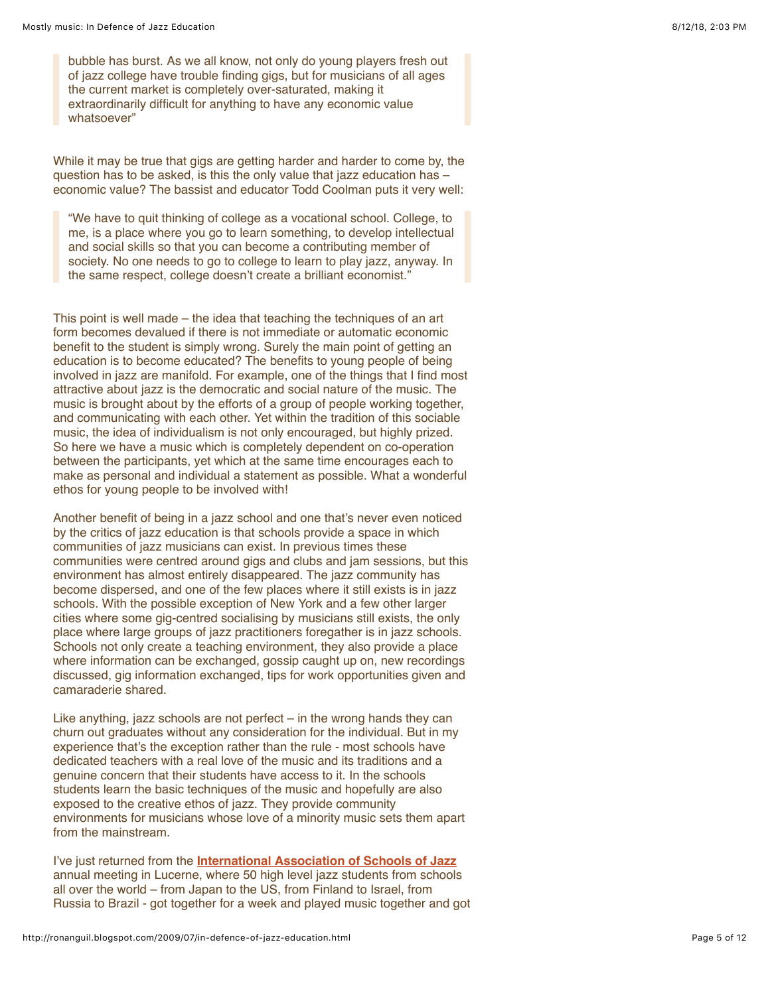bubble has burst. As we all know, not only do young players fresh out of jazz college have trouble finding gigs, but for musicians of all ages the current market is completely over-saturated, making it extraordinarily difficult for anything to have any economic value whatsoever"

While it may be true that gigs are getting harder and harder to come by, the question has to be asked, is this the only value that jazz education has – economic value? The bassist and educator Todd Coolman puts it very well:

"We have to quit thinking of college as a vocational school. College, to me, is a place where you go to learn something, to develop intellectual and social skills so that you can become a contributing member of society. No one needs to go to college to learn to play jazz, anyway. In the same respect, college doesn't create a brilliant economist."

This point is well made – the idea that teaching the techniques of an art form becomes devalued if there is not immediate or automatic economic benefit to the student is simply wrong. Surely the main point of getting an education is to become educated? The benefits to young people of being involved in jazz are manifold. For example, one of the things that I find most attractive about jazz is the democratic and social nature of the music. The music is brought about by the efforts of a group of people working together, and communicating with each other. Yet within the tradition of this sociable music, the idea of individualism is not only encouraged, but highly prized. So here we have a music which is completely dependent on co-operation between the participants, yet which at the same time encourages each to make as personal and individual a statement as possible. What a wonderful ethos for young people to be involved with!

Another benefit of being in a jazz school and one that's never even noticed by the critics of jazz education is that schools provide a space in which communities of jazz musicians can exist. In previous times these communities were centred around gigs and clubs and jam sessions, but this environment has almost entirely disappeared. The jazz community has become dispersed, and one of the few places where it still exists is in jazz schools. With the possible exception of New York and a few other larger cities where some gig-centred socialising by musicians still exists, the only place where large groups of jazz practitioners foregather is in jazz schools. Schools not only create a teaching environment, they also provide a place where information can be exchanged, gossip caught up on, new recordings discussed, gig information exchanged, tips for work opportunities given and camaraderie shared.

Like anything, jazz schools are not perfect – in the wrong hands they can churn out graduates without any consideration for the individual. But in my experience that's the exception rather than the rule - most schools have dedicated teachers with a real love of the music and its traditions and a genuine concern that their students have access to it. In the schools students learn the basic techniques of the music and hopefully are also exposed to the creative ethos of jazz. They provide community environments for musicians whose love of a minority music sets them apart from the mainstream.

I've just returned from the **[International Association of Schools of Jazz](http://www.iasj.com/)** annual meeting in Lucerne, where 50 high level jazz students from schools all over the world – from Japan to the US, from Finland to Israel, from Russia to Brazil - got together for a week and played music together and got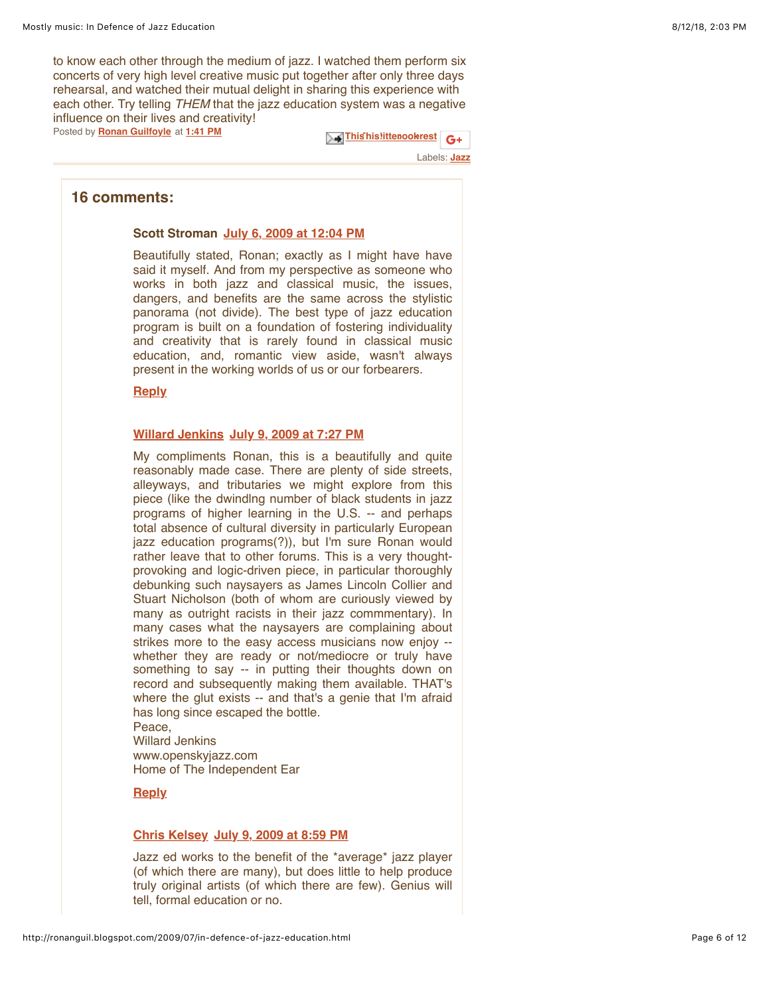to know each other through the medium of jazz. I watched them perform six concerts of very high level creative music put together after only three days rehearsal, and watched their mutual delight in sharing this experience with each other. Try telling *THEM* that the jazz education system was a negative influence on their lives and creativity!

Posted by **[Ronan Guilfoyle](https://www.blogger.com/profile/02668316692753726447)** at **[1:41 PM](http://ronanguil.blogspot.com/2009/07/in-defence-of-jazz-education.html)**

 $\mathbb{R}$  This his litter [ook](https://www.blogger.com/share-post.g?blogID=5526704657739088406&postID=2156713836158196942&target=facebook) rest  $\mathbf{G}$  +

Labels: **[Jazz](http://ronanguil.blogspot.com/search/label/Jazz)**

# **16 comments:**

#### **Scott Stroman [July 6, 2009 at 12:04 PM](http://ronanguil.blogspot.com/2009/07/in-defence-of-jazz-education.html?showComment=1246878254825#c3942236494748037788)**

Beautifully stated, Ronan; exactly as I might have have said it myself. And from my perspective as someone who works in both jazz and classical music, the issues, dangers, and benefits are the same across the stylistic panorama (not divide). The best type of jazz education program is built on a foundation of fostering individuality and creativity that is rarely found in classical music education, and, romantic view aside, wasn't always present in the working worlds of us or our forbearers.

#### **[Reply](javascript:;)**

#### **[Willard Jenkins](http://www.openskyjazz.com/) [July 9, 2009 at 7:27 PM](http://ronanguil.blogspot.com/2009/07/in-defence-of-jazz-education.html?showComment=1247164060737#c2115599012997547889)**

My compliments Ronan, this is a beautifully and quite reasonably made case. There are plenty of side streets, alleyways, and tributaries we might explore from this piece (like the dwindlng number of black students in jazz programs of higher learning in the U.S. -- and perhaps total absence of cultural diversity in particularly European jazz education programs(?)), but I'm sure Ronan would rather leave that to other forums. This is a very thoughtprovoking and logic-driven piece, in particular thoroughly debunking such naysayers as James Lincoln Collier and Stuart Nicholson (both of whom are curiously viewed by many as outright racists in their jazz commmentary). In many cases what the naysayers are complaining about strikes more to the easy access musicians now enjoy - whether they are ready or not/mediocre or truly have something to say -- in putting their thoughts down on record and subsequently making them available. THAT's where the glut exists -- and that's a genie that I'm afraid has long since escaped the bottle. Peace,

Willard Jenkins www.openskyjazz.com Home of The Independent Ear

# **[Reply](javascript:;)**

#### **[Chris Kelsey](http://www.chriskelsey.com/) [July 9, 2009 at 8:59 PM](http://ronanguil.blogspot.com/2009/07/in-defence-of-jazz-education.html?showComment=1247169569378#c4380772065129512457)**

Jazz ed works to the benefit of the \*average\* jazz player (of which there are many), but does little to help produce truly original artists (of which there are few). Genius will tell, formal education or no.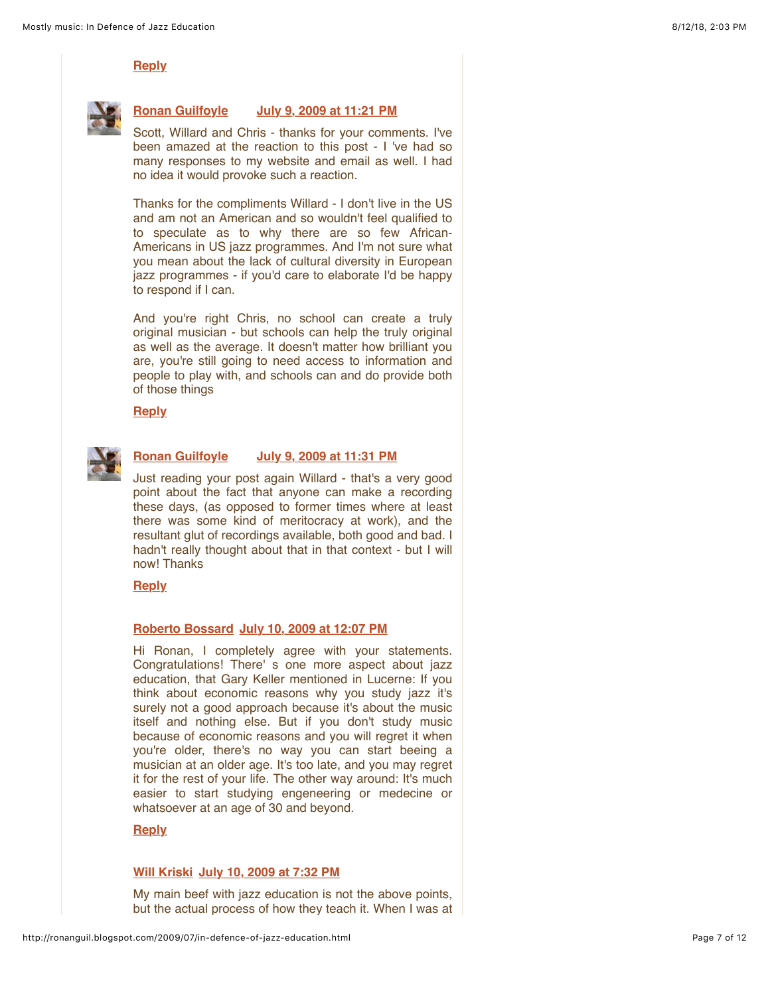# **[Reply](javascript:;)**



# **[Ronan Guilfoyle](https://www.blogger.com/profile/02668316692753726447) [July 9, 2009 at 11:21 PM](http://ronanguil.blogspot.com/2009/07/in-defence-of-jazz-education.html?showComment=1247178101814#c6104402305723665369)**

Scott, Willard and Chris - thanks for your comments. I've been amazed at the reaction to this post - I 've had so many responses to my website and email as well. I had no idea it would provoke such a reaction.

Thanks for the compliments Willard - I don't live in the US and am not an American and so wouldn't feel qualified to to speculate as to why there are so few African-Americans in US jazz programmes. And I'm not sure what you mean about the lack of cultural diversity in European jazz programmes - if you'd care to elaborate I'd be happy to respond if I can.

And you're right Chris, no school can create a truly original musician - but schools can help the truly original as well as the average. It doesn't matter how brilliant you are, you're still going to need access to information and people to play with, and schools can and do provide both of those things

**[Reply](javascript:;)**



# **[Ronan Guilfoyle](https://www.blogger.com/profile/02668316692753726447) [July 9, 2009 at 11:31 PM](http://ronanguil.blogspot.com/2009/07/in-defence-of-jazz-education.html?showComment=1247178672094#c2071721003287755691)**

Just reading your post again Willard - that's a very good point about the fact that anyone can make a recording these days, (as opposed to former times where at least there was some kind of meritocracy at work), and the resultant glut of recordings available, both good and bad. I hadn't really thought about that in that context - but I will now! Thanks

#### **[Reply](javascript:;)**

# **[Roberto Bossard](http://www.robertobossard.ch/) [July 10, 2009 at 12:07 PM](http://ronanguil.blogspot.com/2009/07/in-defence-of-jazz-education.html?showComment=1247224054283#c6376559680266276826)**

Hi Ronan, I completely agree with your statements. Congratulations! There' s one more aspect about jazz education, that Gary Keller mentioned in Lucerne: If you think about economic reasons why you study jazz it's surely not a good approach because it's about the music itself and nothing else. But if you don't study music because of economic reasons and you will regret it when you're older, there's no way you can start beeing a musician at an older age. It's too late, and you may regret it for the rest of your life. The other way around: It's much easier to start studying engeneering or medecine or whatsoever at an age of 30 and beyond.

# **[Reply](javascript:;)**

#### **[Will Kriski](http://membershipschool.com/selling-access) [July 10, 2009 at 7:32 PM](http://ronanguil.blogspot.com/2009/07/in-defence-of-jazz-education.html?showComment=1247250740031#c2799236393955879083)**

My main beef with jazz education is not the above points, but the actual process of how they teach it. When I was at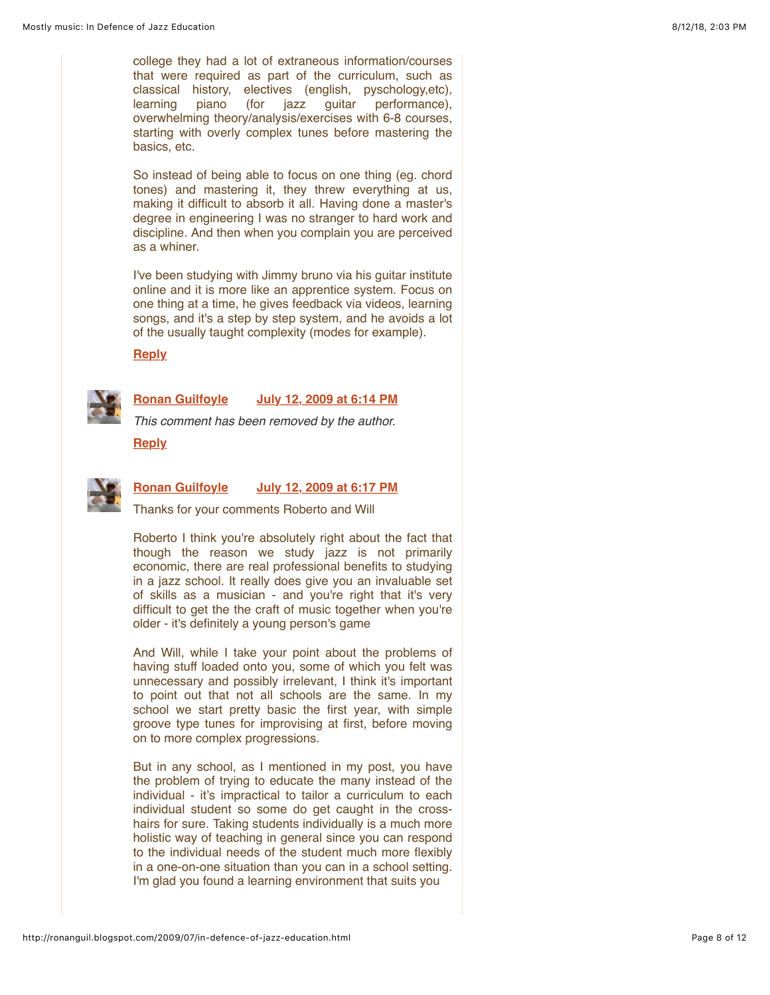college they had a lot of extraneous information/courses that were required as part of the curriculum, such as classical history, electives (english, pyschology,etc), learning piano (for jazz guitar performance), overwhelming theory/analysis/exercises with 6-8 courses, starting with overly complex tunes before mastering the basics, etc.

So instead of being able to focus on one thing (eg. chord tones) and mastering it, they threw everything at us, making it difficult to absorb it all. Having done a master's degree in engineering I was no stranger to hard work and discipline. And then when you complain you are perceived as a whiner.

I've been studying with Jimmy bruno via his guitar institute online and it is more like an apprentice system. Focus on one thing at a time, he gives feedback via videos, learning songs, and it's a step by step system, and he avoids a lot of the usually taught complexity (modes for example).

#### **[Reply](javascript:;)**



**[Ronan Guilfoyle](https://www.blogger.com/profile/02668316692753726447) [July 12, 2009 at 6:14 PM](http://ronanguil.blogspot.com/2009/07/in-defence-of-jazz-education.html?showComment=1247418897208#c8761065298815740892)**

*This comment has been removed by the author.*

**[Reply](javascript:;)**



# **[Ronan Guilfoyle](https://www.blogger.com/profile/02668316692753726447) [July 12, 2009 at 6:17 PM](http://ronanguil.blogspot.com/2009/07/in-defence-of-jazz-education.html?showComment=1247419060853#c1443066928598662099)**

Thanks for your comments Roberto and Will

Roberto I think you're absolutely right about the fact that though the reason we study jazz is not primarily economic, there are real professional benefits to studying in a jazz school. It really does give you an invaluable set of skills as a musician - and you're right that it's very difficult to get the the craft of music together when you're older - it's definitely a young person's game

And Will, while I take your point about the problems of having stuff loaded onto you, some of which you felt was unnecessary and possibly irrelevant, I think it's important to point out that not all schools are the same. In my school we start pretty basic the first year, with simple groove type tunes for improvising at first, before moving on to more complex progressions.

But in any school, as I mentioned in my post, you have the problem of trying to educate the many instead of the individual - it's impractical to tailor a curriculum to each individual student so some do get caught in the crosshairs for sure. Taking students individually is a much more holistic way of teaching in general since you can respond to the individual needs of the student much more flexibly in a one-on-one situation than you can in a school setting. I'm glad you found a learning environment that suits you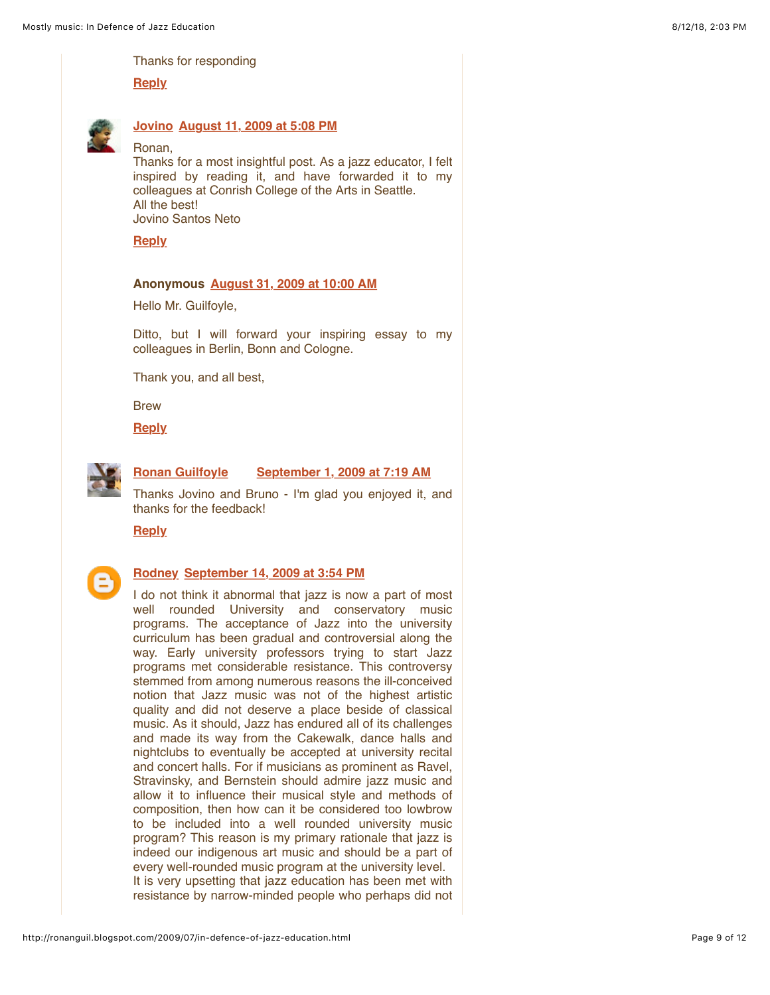Thanks for responding

**[Reply](javascript:;)**



# **[Jovino](https://www.blogger.com/profile/01842652091480145283) [August 11, 2009 at 5:08 PM](http://ronanguil.blogspot.com/2009/07/in-defence-of-jazz-education.html?showComment=1250006885464#c383377817852998865)**

Ronan,

Thanks for a most insightful post. As a jazz educator, I felt inspired by reading it, and have forwarded it to my colleagues at Conrish College of the Arts in Seattle. All the best! Jovino Santos Neto

**[Reply](javascript:;)**

#### **Anonymous [August 31, 2009 at 10:00 AM](http://ronanguil.blogspot.com/2009/07/in-defence-of-jazz-education.html?showComment=1251709245680#c5885835472290699001)**

Hello Mr. Guilfoyle,

Ditto, but I will forward your inspiring essay to my colleagues in Berlin, Bonn and Cologne.

Thank you, and all best,

**Brew** 

**[Reply](javascript:;)**



#### **[Ronan Guilfoyle](https://www.blogger.com/profile/02668316692753726447) [September 1, 2009 at 7:19 AM](http://ronanguil.blogspot.com/2009/07/in-defence-of-jazz-education.html?showComment=1251785956509#c216398063517690856)**

Thanks Jovino and Bruno - I'm glad you enjoyed it, and thanks for the feedback!

**[Reply](javascript:;)**



# **[Rodney](https://www.blogger.com/profile/17104725470098506235) [September 14, 2009 at 3:54 PM](http://ronanguil.blogspot.com/2009/07/in-defence-of-jazz-education.html?showComment=1252940088057#c8668838738375179607)**

I do not think it abnormal that jazz is now a part of most well rounded University and conservatory music programs. The acceptance of Jazz into the university curriculum has been gradual and controversial along the way. Early university professors trying to start Jazz programs met considerable resistance. This controversy stemmed from among numerous reasons the ill-conceived notion that Jazz music was not of the highest artistic quality and did not deserve a place beside of classical music. As it should, Jazz has endured all of its challenges and made its way from the Cakewalk, dance halls and nightclubs to eventually be accepted at university recital and concert halls. For if musicians as prominent as Ravel, Stravinsky, and Bernstein should admire jazz music and allow it to influence their musical style and methods of composition, then how can it be considered too lowbrow to be included into a well rounded university music program? This reason is my primary rationale that jazz is indeed our indigenous art music and should be a part of every well-rounded music program at the university level. It is very upsetting that jazz education has been met with resistance by narrow-minded people who perhaps did not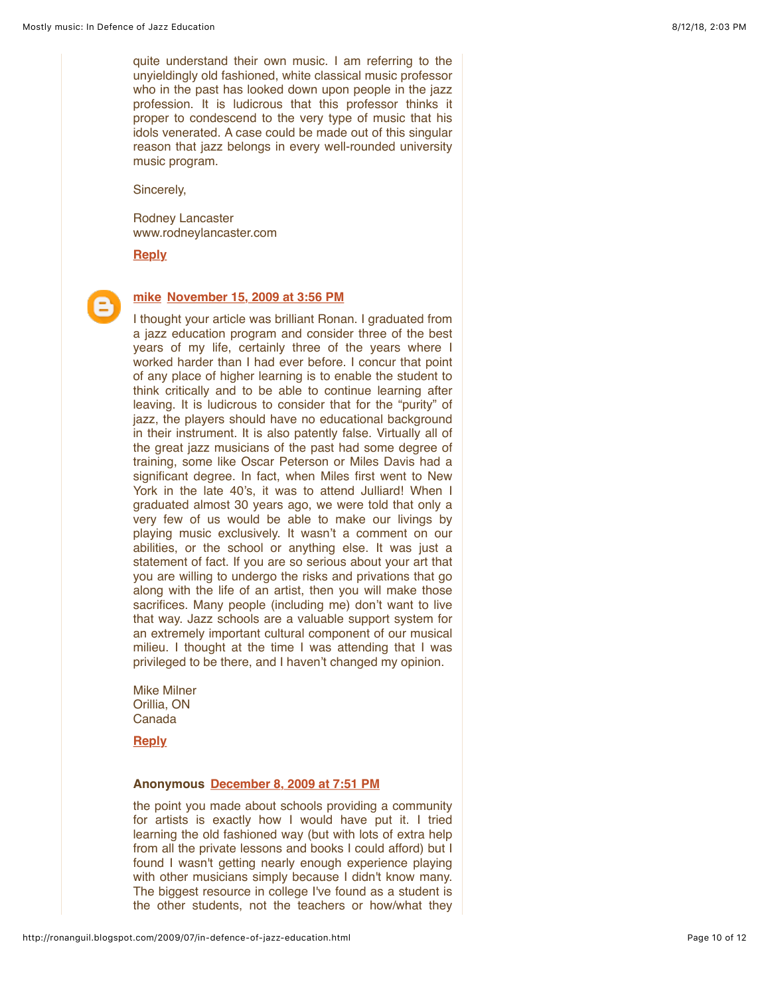quite understand their own music. I am referring to the unyieldingly old fashioned, white classical music professor who in the past has looked down upon people in the jazz profession. It is ludicrous that this professor thinks it proper to condescend to the very type of music that his idols venerated. A case could be made out of this singular reason that jazz belongs in every well-rounded university music program.

Sincerely,

Rodney Lancaster www.rodneylancaster.com

**[Reply](javascript:;)**



# **[mike](https://www.blogger.com/profile/14955630615622547514) [November 15, 2009 at 3:56 PM](http://ronanguil.blogspot.com/2009/07/in-defence-of-jazz-education.html?showComment=1258300572193#c4429326445288902009)**

I thought your article was brilliant Ronan. I graduated from a jazz education program and consider three of the best years of my life, certainly three of the years where I worked harder than I had ever before. I concur that point of any place of higher learning is to enable the student to think critically and to be able to continue learning after leaving. It is ludicrous to consider that for the "purity" of jazz, the players should have no educational background in their instrument. It is also patently false. Virtually all of the great jazz musicians of the past had some degree of training, some like Oscar Peterson or Miles Davis had a significant degree. In fact, when Miles first went to New York in the late 40's, it was to attend Julliard! When I graduated almost 30 years ago, we were told that only a very few of us would be able to make our livings by playing music exclusively. It wasn't a comment on our abilities, or the school or anything else. It was just a statement of fact. If you are so serious about your art that you are willing to undergo the risks and privations that go along with the life of an artist, then you will make those sacrifices. Many people (including me) don't want to live that way. Jazz schools are a valuable support system for an extremely important cultural component of our musical milieu. I thought at the time I was attending that I was privileged to be there, and I haven't changed my opinion.

Mike Milner Orillia, ON Canada

**[Reply](javascript:;)**

# **Anonymous [December 8, 2009 at 7:51 PM](http://ronanguil.blogspot.com/2009/07/in-defence-of-jazz-education.html?showComment=1260301883370#c2717189471060915358)**

the point you made about schools providing a community for artists is exactly how I would have put it. I tried learning the old fashioned way (but with lots of extra help from all the private lessons and books I could afford) but I found I wasn't getting nearly enough experience playing with other musicians simply because I didn't know many. The biggest resource in college I've found as a student is the other students, not the teachers or how/what they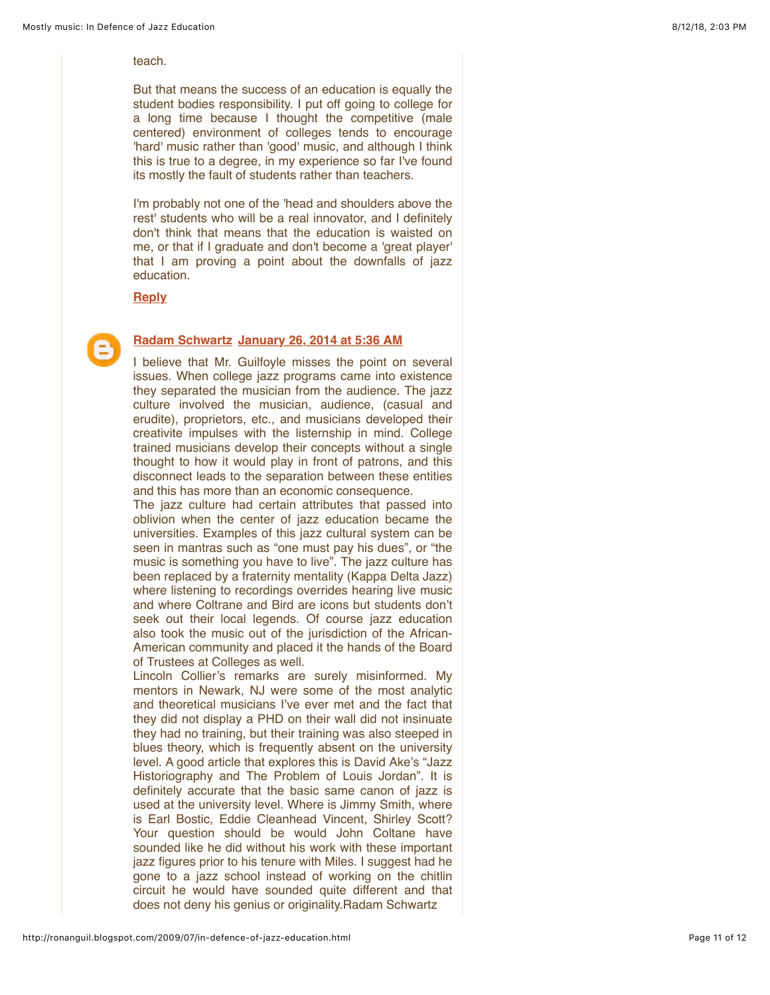#### teach.

But that means the success of an education is equally the student bodies responsibility. I put off going to college for a long time because I thought the competitive (male centered) environment of colleges tends to encourage 'hard' music rather than 'good' music, and although I think this is true to a degree, in my experience so far I've found its mostly the fault of students rather than teachers.

I'm probably not one of the 'head and shoulders above the rest' students who will be a real innovator, and I definitely don't think that means that the education is waisted on me, or that if I graduate and don't become a 'great player' that I am proving a point about the downfalls of jazz education.

**[Reply](javascript:;)**

# **[Radam Schwartz](https://www.blogger.com/profile/05279379212951800431) [January 26, 2014 at 5:36 AM](http://ronanguil.blogspot.com/2009/07/in-defence-of-jazz-education.html?showComment=1390714605188#c5945354301312461688)**

I believe that Mr. Guilfoyle misses the point on several issues. When college jazz programs came into existence they separated the musician from the audience. The jazz culture involved the musician, audience, (casual and erudite), proprietors, etc., and musicians developed their creativite impulses with the listernship in mind. College trained musicians develop their concepts without a single thought to how it would play in front of patrons, and this disconnect leads to the separation between these entities and this has more than an economic consequence.

The jazz culture had certain attributes that passed into oblivion when the center of jazz education became the universities. Examples of this jazz cultural system can be seen in mantras such as "one must pay his dues", or "the music is something you have to live". The jazz culture has been replaced by a fraternity mentality (Kappa Delta Jazz) where listening to recordings overrides hearing live music and where Coltrane and Bird are icons but students don't seek out their local legends. Of course jazz education also took the music out of the jurisdiction of the African-American community and placed it the hands of the Board of Trustees at Colleges as well.

Lincoln Collier's remarks are surely misinformed. My mentors in Newark, NJ were some of the most analytic and theoretical musicians I've ever met and the fact that they did not display a PHD on their wall did not insinuate they had no training, but their training was also steeped in blues theory, which is frequently absent on the university level. A good article that explores this is David Ake's "Jazz Historiography and The Problem of Louis Jordan". It is definitely accurate that the basic same canon of jazz is used at the university level. Where is Jimmy Smith, where is Earl Bostic, Eddie Cleanhead Vincent, Shirley Scott? Your question should be would John Coltane have sounded like he did without his work with these important jazz figures prior to his tenure with Miles. I suggest had he gone to a jazz school instead of working on the chitlin circuit he would have sounded quite different and that does not deny his genius or originality.Radam Schwartz